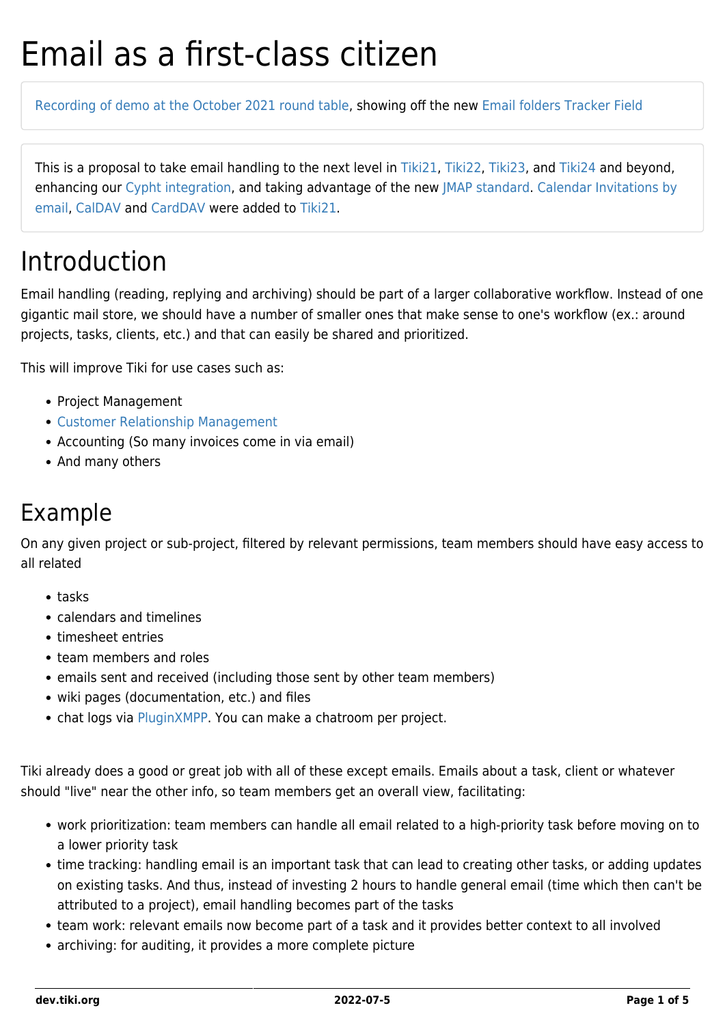# Email as a first-class citizen

[Recording of demo at the October 2021 round table,](https://recordings.rna1.blindsidenetworks.com/citadelrock/d559965849921585c1849af03b7a51638700d979-1635342911405/presentation/?t=1h17m40s) showing off the new [Email folders Tracker Field](http://doc.tiki.org/Email%20folders%20Tracker%20Field)

This is a proposal to take email handling to the next level in [Tiki21](https://dev.tiki.org/Tiki21), [Tiki22](https://dev.tiki.org/Tiki22), [Tiki23,](https://dev.tiki.org/Tiki23) and [Tiki24](https://dev.tiki.org/Tiki24) and beyond, enhancing our [Cypht integration,](https://dev.tiki.org/Cypht-integration) and taking advantage of the new [JMAP standard](https://wikisuite.org/JMAP). [Calendar Invitations by](http://doc.tiki.org/Calendar%20Invitations%20by%20email) [email](http://doc.tiki.org/Calendar%20Invitations%20by%20email), [CalDAV](http://doc.tiki.org/CalDAV) and [CardDAV](http://doc.tiki.org/CardDAV) were added to [Tiki21](https://dev.tiki.org/Tiki21).

### Introduction

Email handling (reading, replying and archiving) should be part of a larger collaborative workflow. Instead of one gigantic mail store, we should have a number of smaller ones that make sense to one's workflow (ex.: around projects, tasks, clients, etc.) and that can easily be shared and prioritized.

This will improve Tiki for use cases such as:

- Project Management
- [Customer Relationship Management](https://dev.tiki.org/Customer-Relationship-Management)
- Accounting (So many invoices come in via email)
- And many others

#### Example

On any given project or sub-project, filtered by relevant permissions, team members should have easy access to all related

- $\bullet$  tasks
- calendars and timelines
- timesheet entries
- team members and roles
- emails sent and received (including those sent by other team members)
- wiki pages (documentation, etc.) and files
- chat logs via [PluginXMPP.](http://doc.tiki.org/PluginXMPP) You can make a chatroom per project.

Tiki already does a good or great job with all of these except emails. Emails about a task, client or whatever should "live" near the other info, so team members get an overall view, facilitating:

- work prioritization: team members can handle all email related to a high-priority task before moving on to a lower priority task
- time tracking: handling email is an important task that can lead to creating other tasks, or adding updates on existing tasks. And thus, instead of investing 2 hours to handle general email (time which then can't be attributed to a project), email handling becomes part of the tasks
- team work: relevant emails now become part of a task and it provides better context to all involved
- archiving: for auditing, it provides a more complete picture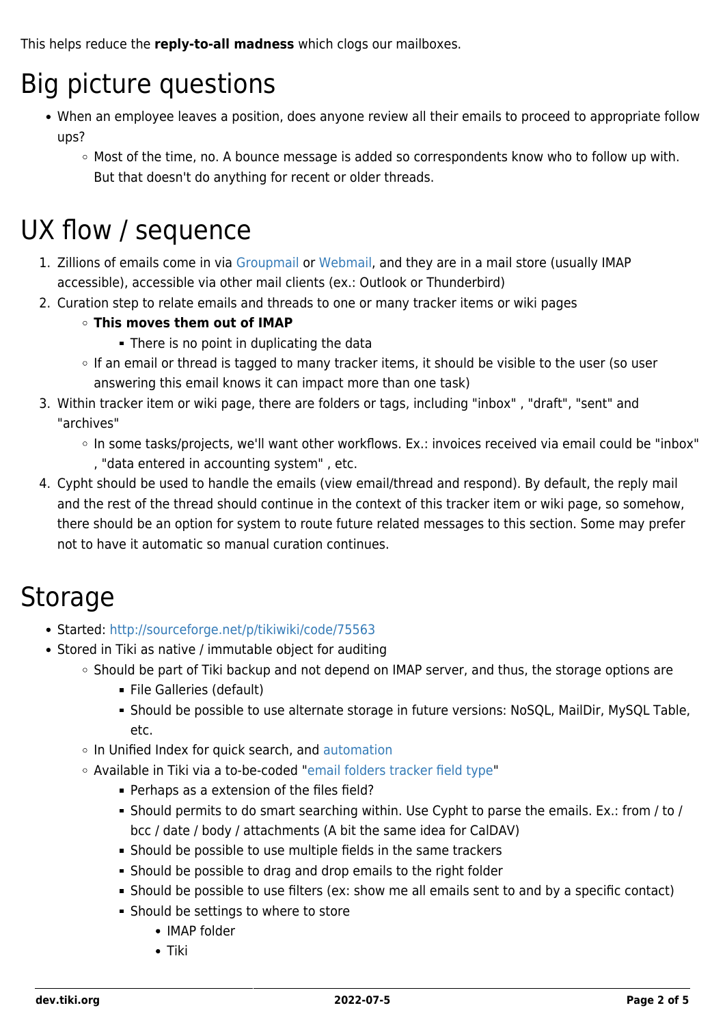This helps reduce the **reply-to-all madness** which clogs our mailboxes.

### Big picture questions

- When an employee leaves a position, does anyone review all their emails to proceed to appropriate follow ups?
	- $\circ$  Most of the time, no. A bounce message is added so correspondents know who to follow up with. But that doesn't do anything for recent or older threads.

### UX flow / sequence

- 1. Zillions of emails come in via [Groupmail](http://doc.tiki.org/Groupmail) or [Webmail](http://doc.tiki.org/Webmail), and they are in a mail store (usually IMAP accessible), accessible via other mail clients (ex.: Outlook or Thunderbird)
- 2. Curation step to relate emails and threads to one or many tracker items or wiki pages

#### **This moves them out of IMAP**

- **There is no point in duplicating the data**
- If an email or thread is tagged to many tracker items, it should be visible to the user (so user answering this email knows it can impact more than one task)
- 3. Within tracker item or wiki page, there are folders or tags, including "inbox" , "draft", "sent" and "archives"
	- o In some tasks/projects, we'll want other workflows. Ex.: invoices received via email could be "inbox" , "data entered in accounting system" , etc.
- 4. Cypht should be used to handle the emails (view email/thread and respond). By default, the reply mail and the rest of the thread should continue in the context of this tracker item or wiki page, so somehow, there should be an option for system to route future related messages to this section. Some may prefer not to have it automatic so manual curation continues.

### Storage

- Started:<http://sourceforge.net/p/tikiwiki/code/75563>
- Stored in Tiki as native / immutable object for auditing
	- o Should be part of Tiki backup and not depend on IMAP server, and thus, the storage options are
		- File Galleries (default)
		- Should be possible to use alternate storage in future versions: NoSQL, MailDir, MySQL Table, etc.
	- o In Unified Index for quick search, and [automation](http://doc.tiki.org/PluginListExecute)
	- Available in Tiki via a to-be-coded "[email folders tracker field type](https://gitlab.com/tikiwiki/tiki/-/merge_requests/818)"
		- Perhaps as a extension of the files field?
		- Should permits to do smart searching within. Use Cypht to parse the emails. Ex.: from / to / bcc / date / body / attachments (A bit the same idea for CalDAV)
		- Should be possible to use multiple fields in the same trackers
		- Should be possible to drag and drop emails to the right folder
		- Should be possible to use filters (ex: show me all emails sent to and by a specific contact)
		- **Should be settings to where to store** 
			- IMAP folder
			- Tiki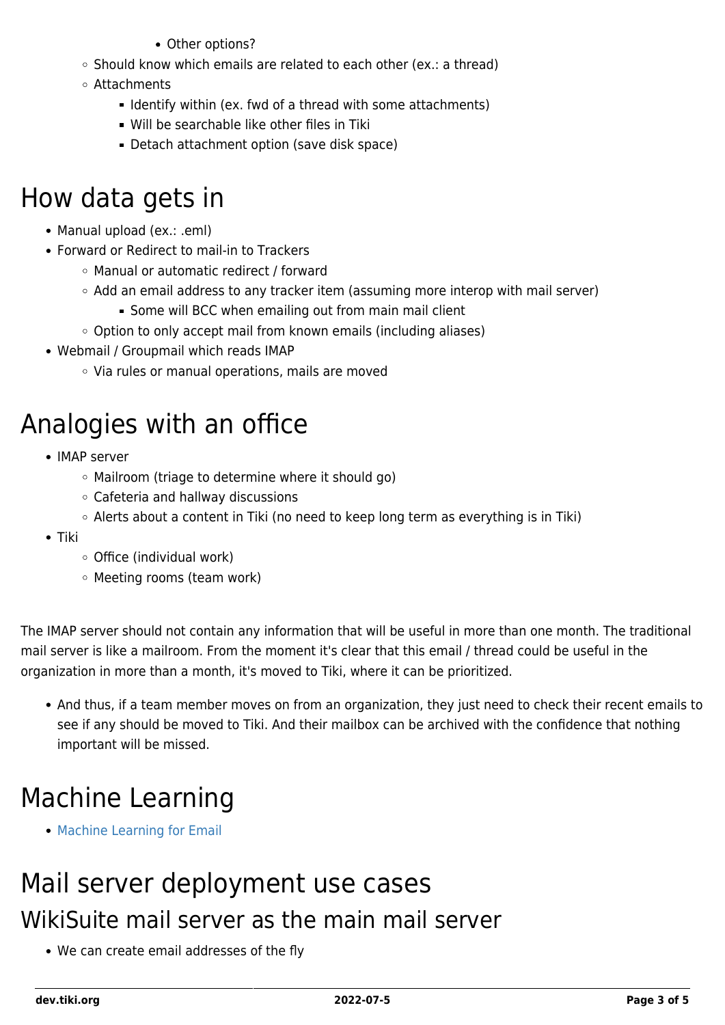- Other options?
- $\circ$  Should know which emails are related to each other (ex.: a thread)
- Attachments
	- **I** Identify within (ex. fwd of a thread with some attachments)
	- Will be searchable like other files in Tiki
	- Detach attachment option (save disk space)

### How data gets in

- Manual upload (ex.: .eml)
- Forward or Redirect to mail-in to Trackers
	- Manual or automatic redirect / forward
	- $\circ$  Add an email address to any tracker item (assuming more interop with mail server)
		- **Some will BCC when emailing out from main mail client**
	- Option to only accept mail from known emails (including aliases)
- Webmail / Groupmail which reads IMAP
	- Via rules or manual operations, mails are moved

## Analogies with an office

- IMAP server
	- Mailroom (triage to determine where it should go)
	- Cafeteria and hallway discussions
	- Alerts about a content in Tiki (no need to keep long term as everything is in Tiki)
- Tiki
	- $\circ$  Office (individual work)
	- Meeting rooms (team work)

The IMAP server should not contain any information that will be useful in more than one month. The traditional mail server is like a mailroom. From the moment it's clear that this email / thread could be useful in the organization in more than a month, it's moved to Tiki, where it can be prioritized.

And thus, if a team member moves on from an organization, they just need to check their recent emails to see if any should be moved to Tiki. And their mailbox can be archived with the confidence that nothing important will be missed.

### Machine Learning

• [Machine Learning for Email](https://dev.tiki.org/Machine-Learning-for-Email)

### Mail server deployment use cases WikiSuite mail server as the main mail server

We can create email addresses of the fly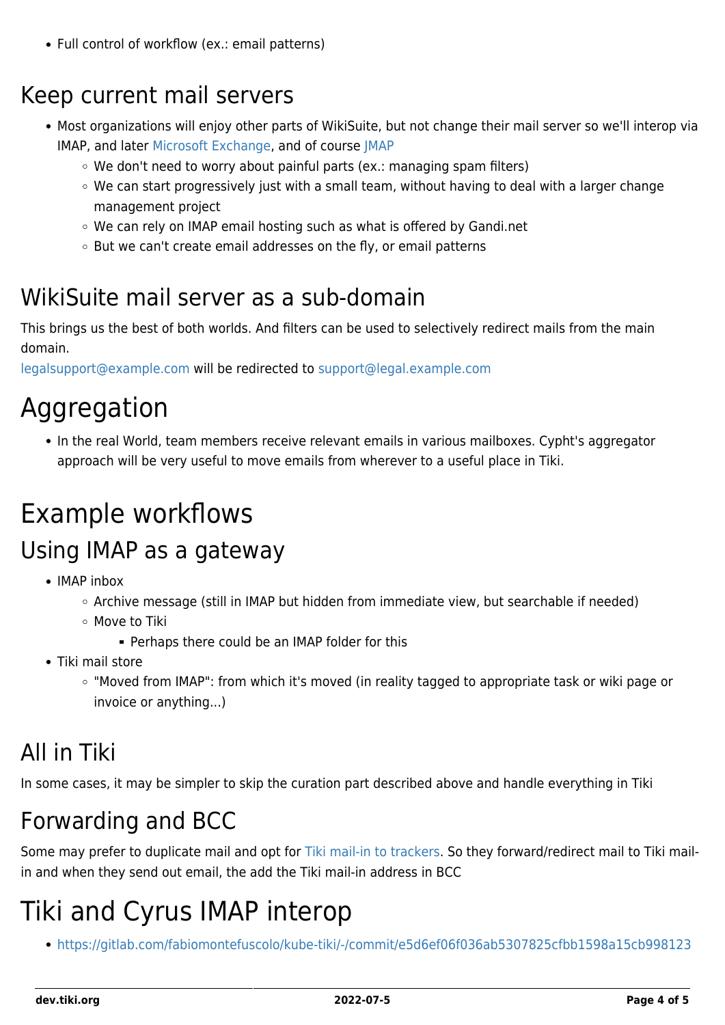• Full control of workflow (ex.: email patterns)

#### Keep current mail servers

- Most organizations will enjoy other parts of WikiSuite, but not change their mail server so we'll interop via IMAP, and later [Microsoft Exchange](https://github.com/jamesiarmes/php-ews), and of course [JMAP](http://wikisuite.org/JMAP)
	- $\circ$  We don't need to worry about painful parts (ex.: managing spam filters)
	- $\circ$  We can start progressively just with a small team, without having to deal with a larger change management project
	- We can rely on IMAP email hosting such as what is offered by Gandi.net
	- But we can't create email addresses on the fly, or email patterns

#### WikiSuite mail server as a sub-domain

This brings us the best of both worlds. And filters can be used to selectively redirect mails from the main domain.

[legalsupport@example.com](mailto:legalsupport@example.com) will be redirected to [support@legal.example.com](mailto:support@legal.example.com)

### Aggregation

• In the real World, team members receive relevant emails in various mailboxes. Cypht's aggregator approach will be very useful to move emails from wherever to a useful place in Tiki.

### Example workflows

#### Using IMAP as a gateway

- IMAP inhox
	- Archive message (still in IMAP but hidden from immediate view, but searchable if needed)
	- Move to Tiki
		- **Perhaps there could be an IMAP folder for this**
- Tiki mail store
	- "Moved from IMAP": from which it's moved (in reality tagged to appropriate task or wiki page or invoice or anything...)

#### All in Tiki

In some cases, it may be simpler to skip the curation part described above and handle everything in Tiki

#### Forwarding and BCC

Some may prefer to duplicate mail and opt for [Tiki mail-in to trackers](http://sourceforge.net/p/tikiwiki/code/75563). So they forward/redirect mail to Tiki mailin and when they send out email, the add the Tiki mail-in address in BCC

### Tiki and Cyrus IMAP interop

<https://gitlab.com/fabiomontefuscolo/kube-tiki/-/commit/e5d6ef06f036ab5307825cfbb1598a15cb998123>